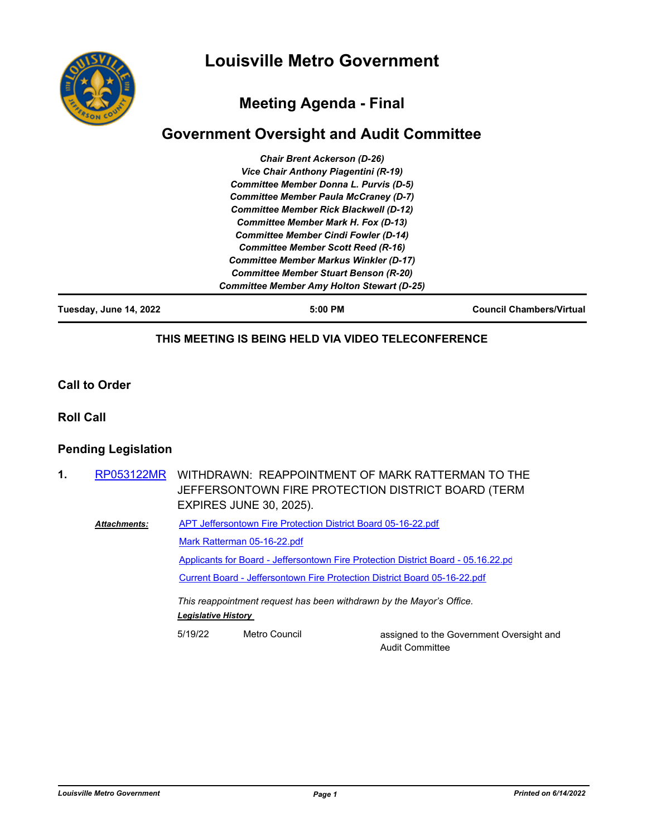



# **Meeting Agenda - Final**

# **Government Oversight and Audit Committee**

| Tuesday, June 14, 2022 | 5:00 PM                                           | <b>Council Chambers/Virtual</b> |
|------------------------|---------------------------------------------------|---------------------------------|
|                        | <b>Committee Member Amy Holton Stewart (D-25)</b> |                                 |
|                        | <b>Committee Member Stuart Benson (R-20)</b>      |                                 |
|                        | <b>Committee Member Markus Winkler (D-17)</b>     |                                 |
|                        | <b>Committee Member Scott Reed (R-16)</b>         |                                 |
|                        | <b>Committee Member Cindi Fowler (D-14)</b>       |                                 |
|                        | <b>Committee Member Mark H. Fox (D-13)</b>        |                                 |
|                        | <b>Committee Member Rick Blackwell (D-12)</b>     |                                 |
|                        | <b>Committee Member Paula McCraney (D-7)</b>      |                                 |
|                        | <b>Committee Member Donna L. Purvis (D-5)</b>     |                                 |
|                        | Vice Chair Anthony Piagentini (R-19)              |                                 |
|                        | <b>Chair Brent Ackerson (D-26)</b>                |                                 |

#### **THIS MEETING IS BEING HELD VIA VIDEO TELECONFERENCE**

**Call to Order**

**Roll Call**

### **Pending Legislation**

| 1. |                     | RP053122MR WITHDRAWN: REAPPOINTMENT OF MARK RATTERMAN TO THE<br>JEFFERSONTOWN FIRE PROTECTION DISTRICT BOARD (TERM<br><b>EXPIRES JUNE 30, 2025).</b> |               |                                                                    |
|----|---------------------|------------------------------------------------------------------------------------------------------------------------------------------------------|---------------|--------------------------------------------------------------------|
|    |                     |                                                                                                                                                      |               |                                                                    |
|    | <b>Attachments:</b> | APT Jeffersontown Fire Protection District Board 05-16-22.pdf                                                                                        |               |                                                                    |
|    |                     | Mark Ratterman 05-16-22.pdf                                                                                                                          |               |                                                                    |
|    |                     | Applicants for Board - Jeffersontown Fire Protection District Board - 05.16.22.pd                                                                    |               |                                                                    |
|    |                     | Current Board - Jeffersontown Fire Protection District Board 05-16-22.pdf                                                                            |               |                                                                    |
|    |                     | This reappointment request has been withdrawn by the Mayor's Office.<br><b>Legislative History</b>                                                   |               |                                                                    |
|    |                     | 5/19/22                                                                                                                                              | Metro Council | assigned to the Government Oversight and<br><b>Audit Committee</b> |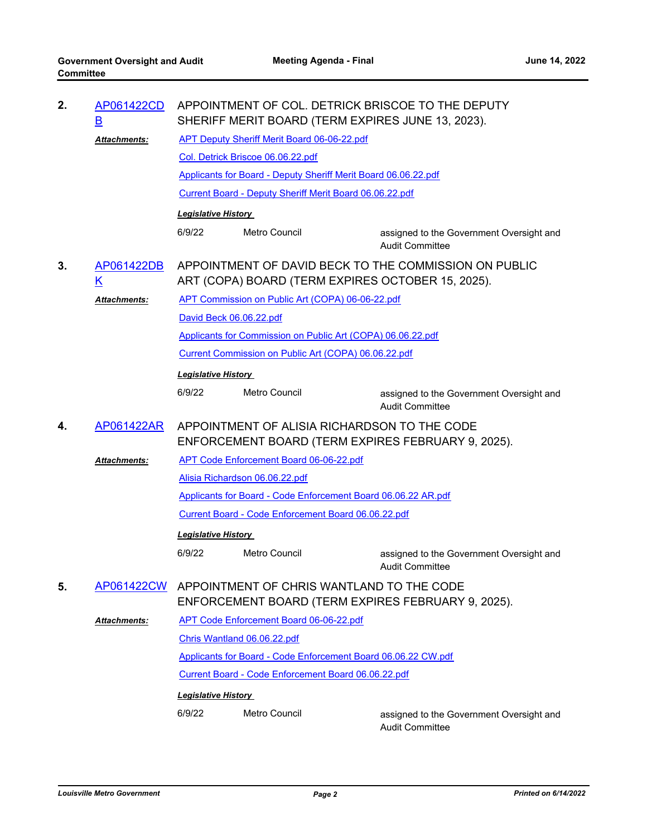| 2. | AP061422CD<br><u>B</u>                                                                                                               | APPOINTMENT OF COL. DETRICK BRISCOE TO THE DEPUTY<br>SHERIFF MERIT BOARD (TERM EXPIRES JUNE 13, 2023). |                                                                                                                      |                                                                    |  |
|----|--------------------------------------------------------------------------------------------------------------------------------------|--------------------------------------------------------------------------------------------------------|----------------------------------------------------------------------------------------------------------------------|--------------------------------------------------------------------|--|
|    | <b>Attachments:</b>                                                                                                                  | <b>APT Deputy Sheriff Merit Board 06-06-22.pdf</b>                                                     |                                                                                                                      |                                                                    |  |
|    |                                                                                                                                      |                                                                                                        | Col. Detrick Briscoe 06.06.22.pdf                                                                                    |                                                                    |  |
|    |                                                                                                                                      | Applicants for Board - Deputy Sheriff Merit Board 06.06.22.pdf                                         |                                                                                                                      |                                                                    |  |
|    |                                                                                                                                      | <b>Current Board - Deputy Sheriff Merit Board 06.06.22.pdf</b>                                         |                                                                                                                      |                                                                    |  |
|    |                                                                                                                                      | <b>Legislative History</b>                                                                             |                                                                                                                      |                                                                    |  |
|    |                                                                                                                                      | 6/9/22                                                                                                 | Metro Council                                                                                                        | assigned to the Government Oversight and<br><b>Audit Committee</b> |  |
| 3. | APPOINTMENT OF DAVID BECK TO THE COMMISSION ON PUBLIC<br>AP061422DB<br><u>K</u><br>ART (COPA) BOARD (TERM EXPIRES OCTOBER 15, 2025). |                                                                                                        |                                                                                                                      |                                                                    |  |
|    | <u> Attachments:</u>                                                                                                                 | APT Commission on Public Art (COPA) 06-06-22.pdf                                                       |                                                                                                                      |                                                                    |  |
|    |                                                                                                                                      | David Beck 06.06.22.pdf                                                                                |                                                                                                                      |                                                                    |  |
|    |                                                                                                                                      | Applicants for Commission on Public Art (COPA) 06.06.22.pdf                                            |                                                                                                                      |                                                                    |  |
|    |                                                                                                                                      | Current Commission on Public Art (COPA) 06.06.22.pdf                                                   |                                                                                                                      |                                                                    |  |
|    |                                                                                                                                      | <b>Legislative History</b>                                                                             |                                                                                                                      |                                                                    |  |
|    |                                                                                                                                      | 6/9/22                                                                                                 | Metro Council                                                                                                        | assigned to the Government Oversight and<br><b>Audit Committee</b> |  |
|    | AP061422AR<br>APPOINTMENT OF ALISIA RICHARDSON TO THE CODE                                                                           |                                                                                                        |                                                                                                                      |                                                                    |  |
| 4. |                                                                                                                                      |                                                                                                        |                                                                                                                      |                                                                    |  |
|    |                                                                                                                                      |                                                                                                        |                                                                                                                      | ENFORCEMENT BOARD (TERM EXPIRES FEBRUARY 9, 2025).                 |  |
|    | <b>Attachments:</b>                                                                                                                  |                                                                                                        | <b>APT Code Enforcement Board 06-06-22.pdf</b>                                                                       |                                                                    |  |
|    |                                                                                                                                      |                                                                                                        | Alisia Richardson 06.06.22.pdf                                                                                       |                                                                    |  |
|    |                                                                                                                                      |                                                                                                        | Applicants for Board - Code Enforcement Board 06.06.22 AR.pdf<br>Current Board - Code Enforcement Board 06.06.22.pdf |                                                                    |  |
|    |                                                                                                                                      |                                                                                                        |                                                                                                                      |                                                                    |  |
|    |                                                                                                                                      | <b>Legislative History</b><br>6/9/22                                                                   | <b>Metro Council</b>                                                                                                 | assigned to the Government Oversight and                           |  |
| 5. | AP061422CW                                                                                                                           |                                                                                                        | APPOINTMENT OF CHRIS WANTLAND TO THE CODE                                                                            | <b>Audit Committee</b>                                             |  |
|    |                                                                                                                                      |                                                                                                        |                                                                                                                      | ENFORCEMENT BOARD (TERM EXPIRES FEBRUARY 9, 2025).                 |  |
|    | <b>Attachments:</b>                                                                                                                  |                                                                                                        | APT Code Enforcement Board 06-06-22.pdf                                                                              |                                                                    |  |
|    |                                                                                                                                      |                                                                                                        | Chris Wantland 06.06.22.pdf                                                                                          |                                                                    |  |
|    |                                                                                                                                      |                                                                                                        | Applicants for Board - Code Enforcement Board 06.06.22 CW.pdf<br>Current Board - Code Enforcement Board 06.06.22.pdf |                                                                    |  |
|    |                                                                                                                                      |                                                                                                        |                                                                                                                      |                                                                    |  |
|    |                                                                                                                                      | <b>Legislative History</b><br>6/9/22                                                                   | <b>Metro Council</b>                                                                                                 | assigned to the Government Oversight and                           |  |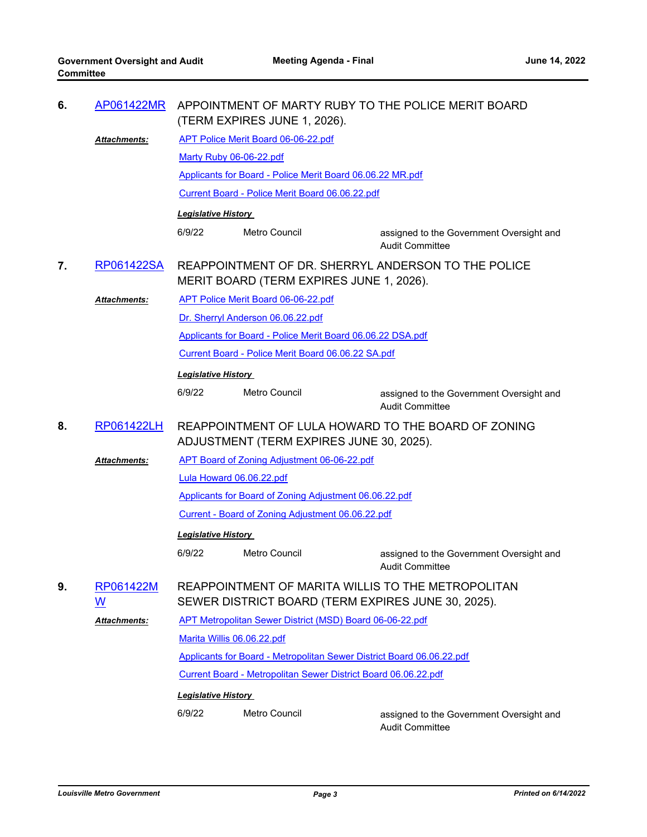| 6. | AP061422MR          | APPOINTMENT OF MARTY RUBY TO THE POLICE MERIT BOARD<br>(TERM EXPIRES JUNE 1, 2026).                      |                                                           |                                                                    |  |  |
|----|---------------------|----------------------------------------------------------------------------------------------------------|-----------------------------------------------------------|--------------------------------------------------------------------|--|--|
|    | Attachments:        | <b>APT Police Merit Board 06-06-22.pdf</b>                                                               |                                                           |                                                                    |  |  |
|    |                     | Marty Ruby 06-06-22.pdf                                                                                  |                                                           |                                                                    |  |  |
|    |                     |                                                                                                          | Applicants for Board - Police Merit Board 06.06.22 MR.pdf |                                                                    |  |  |
|    |                     | Current Board - Police Merit Board 06.06.22.pdf                                                          |                                                           |                                                                    |  |  |
|    |                     | <b>Legislative History</b>                                                                               |                                                           |                                                                    |  |  |
|    |                     | 6/9/22                                                                                                   | Metro Council                                             | assigned to the Government Oversight and<br><b>Audit Committee</b> |  |  |
| 7. | RP061422SA          | REAPPOINTMENT OF DR. SHERRYL ANDERSON TO THE POLICE<br>MERIT BOARD (TERM EXPIRES JUNE 1, 2026).          |                                                           |                                                                    |  |  |
|    | <b>Attachments:</b> |                                                                                                          | APT Police Merit Board 06-06-22.pdf                       |                                                                    |  |  |
|    |                     |                                                                                                          | Dr. Sherryl Anderson 06.06.22.pdf                         |                                                                    |  |  |
|    |                     | Applicants for Board - Police Merit Board 06.06.22 DSA.pdf                                               |                                                           |                                                                    |  |  |
|    |                     | Current Board - Police Merit Board 06.06.22 SA.pdf                                                       |                                                           |                                                                    |  |  |
|    |                     | <b>Legislative History</b>                                                                               |                                                           |                                                                    |  |  |
|    |                     | 6/9/22                                                                                                   | <b>Metro Council</b>                                      | assigned to the Government Oversight and<br><b>Audit Committee</b> |  |  |
| 8. | RP061422LH          | REAPPOINTMENT OF LULA HOWARD TO THE BOARD OF ZONING<br>ADJUSTMENT (TERM EXPIRES JUNE 30, 2025).          |                                                           |                                                                    |  |  |
|    | <b>Attachments:</b> | APT Board of Zoning Adjustment 06-06-22.pdf                                                              |                                                           |                                                                    |  |  |
|    |                     | Lula Howard 06.06.22.pdf                                                                                 |                                                           |                                                                    |  |  |
|    |                     | Applicants for Board of Zoning Adjustment 06.06.22.pdf                                                   |                                                           |                                                                    |  |  |
|    |                     | Current - Board of Zoning Adjustment 06.06.22.pdf                                                        |                                                           |                                                                    |  |  |
|    |                     | <b>Legislative History</b>                                                                               |                                                           |                                                                    |  |  |
|    |                     | 6/9/22                                                                                                   | Metro Council                                             | assigned to the Government Oversight and<br>Audit Committee        |  |  |
| 9. | RP061422M<br>W      | REAPPOINTMENT OF MARITA WILLIS TO THE METROPOLITAN<br>SEWER DISTRICT BOARD (TERM EXPIRES JUNE 30, 2025). |                                                           |                                                                    |  |  |
|    | Attachments:        | APT Metropolitan Sewer District (MSD) Board 06-06-22.pdf                                                 |                                                           |                                                                    |  |  |
|    |                     | Marita Willis 06.06.22.pdf                                                                               |                                                           |                                                                    |  |  |
|    |                     | Applicants for Board - Metropolitan Sewer District Board 06.06.22.pdf                                    |                                                           |                                                                    |  |  |
|    |                     | Current Board - Metropolitan Sewer District Board 06.06.22.pdf                                           |                                                           |                                                                    |  |  |
|    |                     | <b>Legislative History</b>                                                                               |                                                           |                                                                    |  |  |
|    |                     | 6/9/22                                                                                                   | Metro Council                                             | assigned to the Government Oversight and<br><b>Audit Committee</b> |  |  |